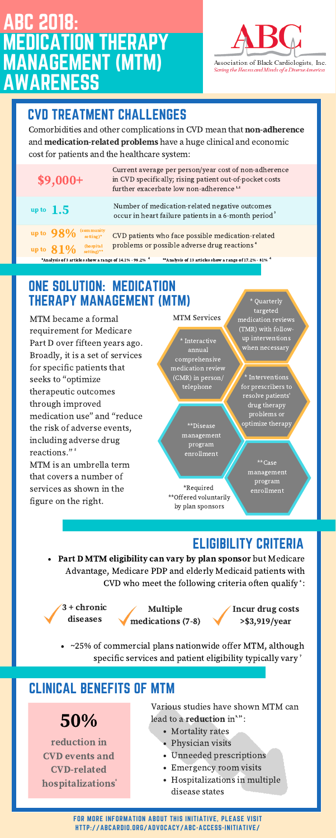## CVD TREATMENT CHALLENGES

FOR MORE INFORMATION ABOUT THIS INITIATIVE, PLEASE VISIT HTTP://ABCARDIO.ORG/ADVOCACY/ABC-ACCESS-INITIATIVE/

Comorbidities and other complications in CVD mean that non-adherence and medication-related problems have a huge clinical and economic cost for patients and the healthcare system:

## ONE SOLUTION: MEDICATION THERAPY MANAGEMENT (MTM)

Part D MTM eligibility can vary by plan sponsor but Medicare Advantage, Medicare PDP and elderly Medicaid patients with CVD who meet the following criteria often qualify :

~25% of commercial plans nationwide offer MTM, although specific services and patient eligibility typically vary<sup>7</sup>

MTM became a formal requirement for Medicare Part D over fifteen years ago. Broadly, it is a set of services for specific patients that seeks to "optimize therapeutic outcomes through improved medication use" and "reduce the risk of adverse events, including adverse drug reactions." 5 MTM is an umbrella term that covers a number of services as shown in the figure on the right.

## ELIGIBILITY CRITERIA

reduction in CVD events and CVD-related **hospitalizations**  Various studies have shown MTM can lead to a **reduction** in $^{\text{\tiny 9,10}}$  :

# ABC 2018: MEDICATION THERAPY MANAGEMENT (MTM) AWARENESS



Association of Black Cardiologists, Inc. Saving the Heans and Minds of a Diverse America

- Mortality rates
- Physician visits
- Unneeded prescriptions
- Emergency room visits
- Hospitalizations in multiple disease states

#### MTM Services

\*Required \*\*Offered voluntarily

by plan sponsors

\* Interactive annual comprehensive medication review (CMR) in person/ telephone

\* Quarterly targeted medication reviews (TMR) with followup interventions when necessary

> \*\*Case management program enrollment



| $$9,000+$                                                        | Current average per person/year cost of non-adherence<br>in CVD specifically; rising patient out-of-pocket costs<br>further exacerbate low non-adherence <sup>1,2</sup> |
|------------------------------------------------------------------|-------------------------------------------------------------------------------------------------------------------------------------------------------------------------|
| up to $1.5$                                                      | Number of medication-related negative outcomes<br>occur in heart failure patients in a 6-month period <sup>3</sup>                                                      |
| $(communitysetting)*$<br>up to $98\%$<br>up to $81\%$ (hospital) | CVD patients who face possible medication-related<br>problems or possible adverse drug reactions <sup>4</sup>                                                           |

\*\* Analysis of 13 articles show a range of 17.2% - 81% \*Analysis of 3 articles show a range of  $14.1\%$  - 98.2%  $^4$ 

> \*\*Disease management program enrollment

\* Interventions for prescribers to resolve patients' drug therapy problems or optimize therapy

3 + chronic diseases



Incur drug costs >\$3,919/year

#### CLINICAL BENEFITS OF MTM

50%